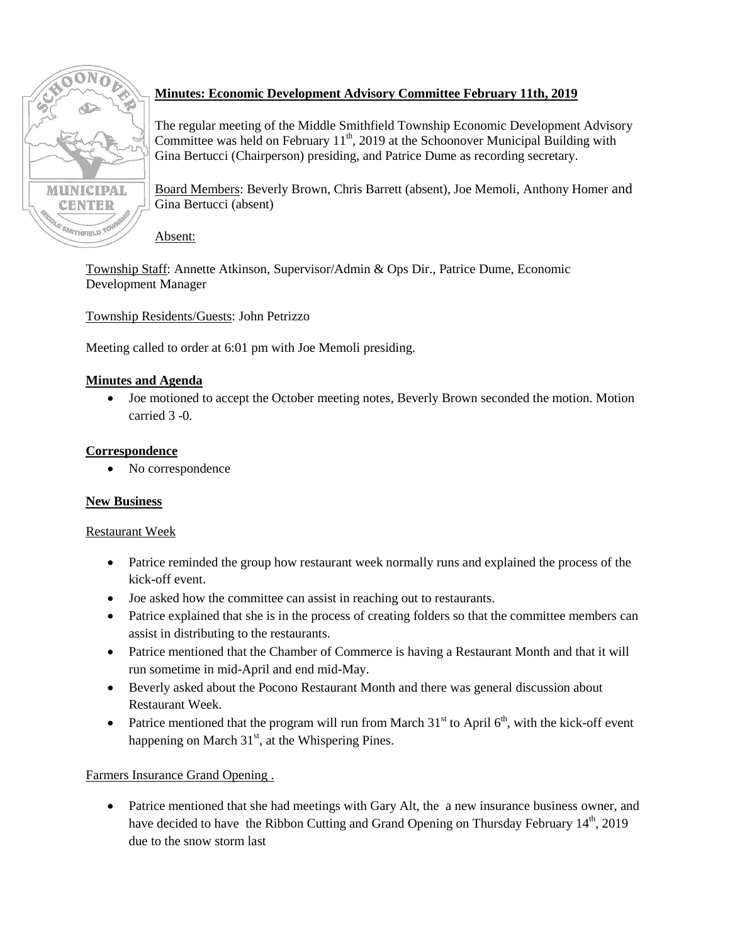

# **Minutes: Economic Development Advisory Committee February 11th, 2019**

The regular meeting of the Middle Smithfield Township Economic Development Advisory Committee was held on February  $11^{th}$ , 2019 at the Schoonover Municipal Building with Gina Bertucci (Chairperson) presiding, and Patrice Dume as recording secretary.

Board Members: Beverly Brown, Chris Barrett (absent), Joe Memoli, Anthony Homer and Gina Bertucci (absent)

Absent:

Township Staff: Annette Atkinson, Supervisor/Admin & Ops Dir., Patrice Dume, Economic Development Manager

Township Residents/Guests: John Petrizzo

Meeting called to order at 6:01 pm with Joe Memoli presiding.

## **Minutes and Agenda**

 Joe motioned to accept the October meeting notes, Beverly Brown seconded the motion. Motion carried 3 -0.

### **Correspondence**

• No correspondence

# **New Business**

### Restaurant Week

- Patrice reminded the group how restaurant week normally runs and explained the process of the kick-off event.
- Joe asked how the committee can assist in reaching out to restaurants.
- Patrice explained that she is in the process of creating folders so that the committee members can assist in distributing to the restaurants.
- Patrice mentioned that the Chamber of Commerce is having a Restaurant Month and that it will run sometime in mid-April and end mid-May.
- Beverly asked about the Pocono Restaurant Month and there was general discussion about Restaurant Week.
- Patrice mentioned that the program will run from March  $31<sup>st</sup>$  to April 6<sup>th</sup>, with the kick-off event happening on March  $31<sup>st</sup>$ , at the Whispering Pines.

# Farmers Insurance Grand Opening .

• Patrice mentioned that she had meetings with Gary Alt, the a new insurance business owner, and have decided to have the Ribbon Cutting and Grand Opening on Thursday February  $14<sup>th</sup>$ , 2019 due to the snow storm last